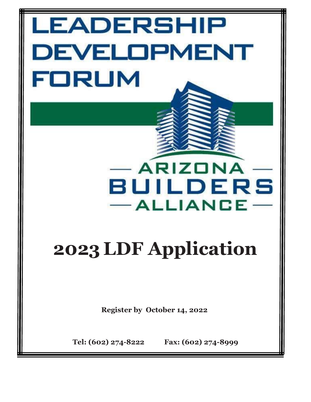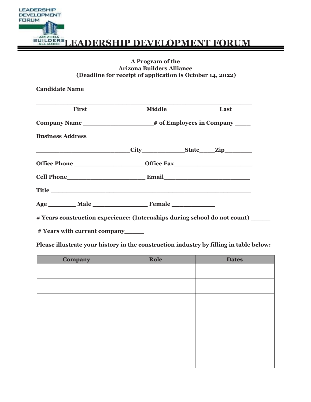

# **EQUILDERS LEADERSHIP DEVELOPMENT FORUM**

# **A Program of the Arizona Builders Alliance (Deadline for receipt of application is October 14, 2022)**

**Candidate Name** 

| <b>First</b>            | <b>Middle</b>                                | Last |
|-------------------------|----------------------------------------------|------|
|                         |                                              |      |
| <b>Business Address</b> |                                              |      |
|                         | City________________State______Zip__________ |      |
|                         |                                              |      |
|                         | <b>Cell Phone Email Email</b>                |      |
|                         | Title                                        |      |
|                         |                                              |      |

**# Years construction experience: (Internships during school do not count) \_\_\_\_\_** 

**# Years with current company\_\_\_\_\_** 

**Please illustrate your history in the construction industry by filling in table below:** 

| <b>Company</b> | Role | <b>Dates</b> |
|----------------|------|--------------|
|                |      |              |
|                |      |              |
|                |      |              |
|                |      |              |
|                |      |              |
|                |      |              |
|                |      |              |
|                |      |              |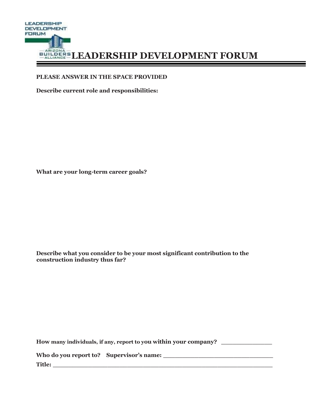

# PLEASE ANSWER IN THE SPACE PROVIDED

Describe current role and responsibilities:

What are your long-term career goals?

Describe what you consider to be your most significant contribution to the construction industry thus far?

| How many individuals, if any, report to you within your company? |  |  |  |
|------------------------------------------------------------------|--|--|--|
| Who do you report to? Supervisor's name:                         |  |  |  |
| Title:                                                           |  |  |  |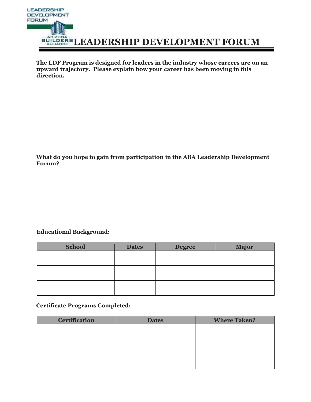

**The LDF Program is designed for leaders in the industry whose careers are on an upward trajectory. Please explain how your career has been moving in this direction.** 

**What do you hope to gain from participation in the ABA Leadership Development Forum?** 

# **Educational Background:**

| <b>School</b> | <b>Dates</b> | <b>Degree</b> | <b>Major</b> |
|---------------|--------------|---------------|--------------|
|               |              |               |              |
|               |              |               |              |
|               |              |               |              |
|               |              |               |              |
|               |              |               |              |
|               |              |               |              |

# **Certificate Programs Completed:**

| <b>Certification</b> | <b>Dates</b> | <b>Where Taken?</b> |
|----------------------|--------------|---------------------|
|                      |              |                     |
|                      |              |                     |
|                      |              |                     |
|                      |              |                     |
|                      |              |                     |
|                      |              |                     |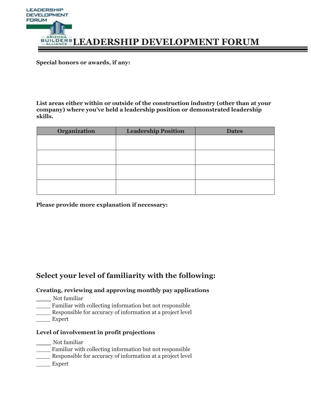

**Special honors or awards, if any:** 

**List areas either within or outside of the construction industry (other than at your company) where you've held a leadership position or demonstrated leadership skills.** 

| <b>Organization</b> | <b>Leadership Position</b> | <b>Dates</b> |
|---------------------|----------------------------|--------------|
|                     |                            |              |
|                     |                            |              |
|                     |                            |              |
|                     |                            |              |
|                     |                            |              |
|                     |                            |              |
|                     |                            |              |
|                     |                            |              |

**Please provide more explanation if necessary:** 

# **Select your level of familiarity with the following:**

# **Creating, reviewing and approving monthly pay applications**

- **\_\_\_** Not familiar
- \_\_\_\_ Familiar with collecting information but not responsible
- \_\_\_\_ Responsible for accuracy of information at a project level
- Expert

# **Level of involvement in profit projections**

- **\_\_\_** Not familiar
- \_\_\_\_ Familiar with collecting information but not responsible
- \_\_\_\_ Responsible for accuracy of information at a project level
- Expert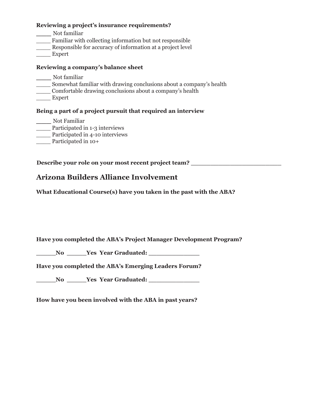# **Reviewing a project's insurance requirements?**

- **\_\_\_** Not familiar
- Familiar with collecting information but not responsible
- \_\_\_\_ Responsible for accuracy of information at a project level
- \_\_\_\_ Expert

# **Reviewing a company's balance sheet**

- **\_\_\_** Not familiar
- \_\_\_\_ Somewhat familiar with drawing conclusions about a company's health
- \_\_\_\_ Comfortable drawing conclusions about a company's health
- \_\_\_\_ Expert

# **Being a part of a project pursuit that required an interview**

**\_\_\_** Not Familiar \_\_\_\_ Participated in 1-3 interviews

- Participated in 4-10 interviews
- \_\_\_\_ Participated in 10+

**Describe your role on your most recent project team?** 

# **Arizona Builders Alliance Involvement**

**What Educational Course(s) have you taken in the past with the ABA?** 

**Have you completed the ABA's Project Manager Development Program?** 

No **\_\_\_\_\_\_Yes Year Graduated:** \_\_\_\_\_\_\_\_\_\_\_\_\_\_\_\_

**Have you completed the ABA's Emerging Leaders Forum?**

**No**  *No* **<b>***Yes Year Graduated: No No No No No No No No No No No No No No No No No No No No No No No No No No No* 

**How have you been involved with the ABA in past years?**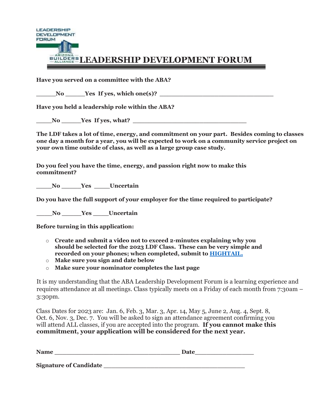

# **EQILDERS LEADERSHIP DEVELOPMENT FORUM**

**Have you served on a committee with the ABA?** 

No **Latter Yes If yes, which one(s)?** Latter  $\overline{X}$ 

**Have you held a leadership role within the ABA?** 

**Let up a Let up a Let up a Let up a Let up a Let up a Let up a Let up a Let up a Let up a Let up a Let up a Let up a Let up a Let up a Let up a Let up a Let up a Let up a Let up a Let up a Let up a Let up a Let up a Let u** 

**The LDF takes a lot of time, energy, and commitment on your part. Besides coming to classes one day a month for a year, you will be expected to work on a community service project on your own time outside of class, as well as a large group case study.** 

**Do you feel you have the time, energy, and passion right now to make this commitment?** 

**\_\_\_\_No \_\_\_\_\_Yes \_\_\_\_Uncertain** 

**Do you have the full support of your employer for the time required to participate?** 

**\_\_\_\_No \_\_\_\_\_Yes \_\_\_\_Uncertain** 

**Before turning in this application:** 

- o **Create and submit a video not to exceed 2-minutes explaining why you should be selected for the 2023 LDF Class. These can be very simple and recorded on your phones; when completed, submit t[o HIGHTAIL.](https://spaces.hightail.com/uplink/2023LDFvideos-private)**
- o **Make sure you sign and date below**
- o **Make sure your nominator completes the last page**

It is my understanding that the ABA Leadership Development Forum is a learning experience and requires attendance at all meetings. Class typically meets on a Friday of each month from 7:30am – 3:30pm.

Class Dates for 2023 are: Jan. 6, Feb. 3, Mar. 3, Apr. 14, May 5, June 2, Aug. 4, Sept. 8, Oct. 6, Nov. 3, Dec. 7. You will be asked to sign an attendance agreement confirming you will attend ALL classes, if you are accepted into the program. **If you cannot make this commitment, your application will be considered for the next year.** 

| <b>Name</b>                   | Date |
|-------------------------------|------|
|                               |      |
| <b>Signature of Candidate</b> |      |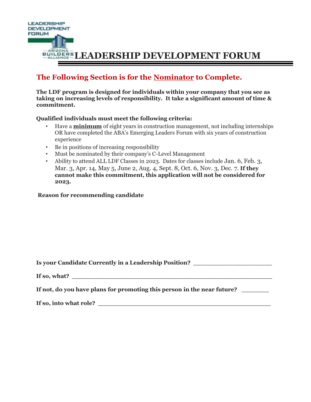

# **The Following Section is for the Nominator to Complete.**

**The LDF program is designed for individuals within your company that you see as taking on increasing levels of responsibility. It take a significant amount of time & commitment.** 

# **Qualified individuals must meet the following criteria:**

- Have a **minimum** of eight years in construction management, not including internships OR have completed the ABA's Emerging Leaders Forum with six years of construction experience
- Be in positions of increasing responsibility
- Must be nominated by their company's C-Level Management
- Ability to attend ALL LDF Classes in 2023. Dates for classes include Jan. 6, Feb. 3, Mar. 3, Apr. 14, May 5, June 2, Aug. 4, Sept. 8, Oct. 6, Nov. 3, Dec. 7. **If they cannot make this commitment, this application will not be considered for 2023.**

# **Reason for recommending candidate**

| <b>Is your Candidate Currently in a Leadership Position?</b> |  |  |
|--------------------------------------------------------------|--|--|
|                                                              |  |  |

| If so, what? |  |
|--------------|--|
|              |  |

**If not, do you have plans for promoting this person in the near future? \_\_\_\_\_\_\_**

If so, into what role?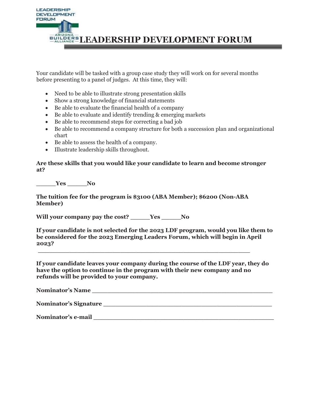

Your candidate will be tasked with a group case study they will work on for several months before presenting to a panel of judges. At this time, they will:

- Need to be able to illustrate strong presentation skills
- Show a strong knowledge of financial statements
- Be able to evaluate the financial health of a company
- Be able to evaluate and identify trending & emerging markets
- Be able to recommend steps for correcting a bad job
- Be able to recommend a company structure for both a succession plan and organizational chart
- Be able to assess the health of a company.
- Illustrate leadership skills throughout.

#### **Are these skills that you would like your candidate to learn and become stronger at?**

**\_\_\_\_\_Yes \_\_\_\_\_No** 

**The tuition fee for the program is \$3100 (ABA Member); \$6200 (Non-ABA Member)** 

**\_\_\_\_\_\_\_\_\_\_\_\_\_\_\_\_\_\_\_\_\_\_\_\_\_\_\_\_\_\_\_\_\_\_\_\_\_\_\_\_\_\_\_\_\_\_\_\_\_\_\_\_\_\_**

**Will your company pay the cost? \_\_\_\_\_Yes \_\_\_\_\_No** 

**If your candidate is not selected for the 2023 LDF program, would you like them to be considered for the 2023 Emerging Leaders Forum, which will begin in April 2023?** 

**If your candidate leaves your company during the course of the LDF year, they do have the option to continue in the program with their new company and no refunds will be provided to your company.** 

**Nominator's Name \_\_\_\_\_\_\_\_\_\_\_\_\_\_\_\_\_\_\_\_\_\_\_\_\_\_\_\_\_\_\_\_\_\_\_\_\_\_\_\_\_\_\_\_\_\_** 

**Nominator's Signature \_\_\_\_\_\_\_\_\_\_\_\_\_\_\_\_\_\_\_\_\_\_\_\_\_\_\_\_\_\_\_\_\_\_\_\_\_\_\_\_\_\_\_**

**Nominator's e-mail \_\_\_\_\_\_\_\_\_\_\_\_\_\_\_\_\_\_\_\_\_\_\_\_\_\_\_\_\_\_\_\_\_\_\_\_\_\_\_\_\_\_\_\_\_\_**